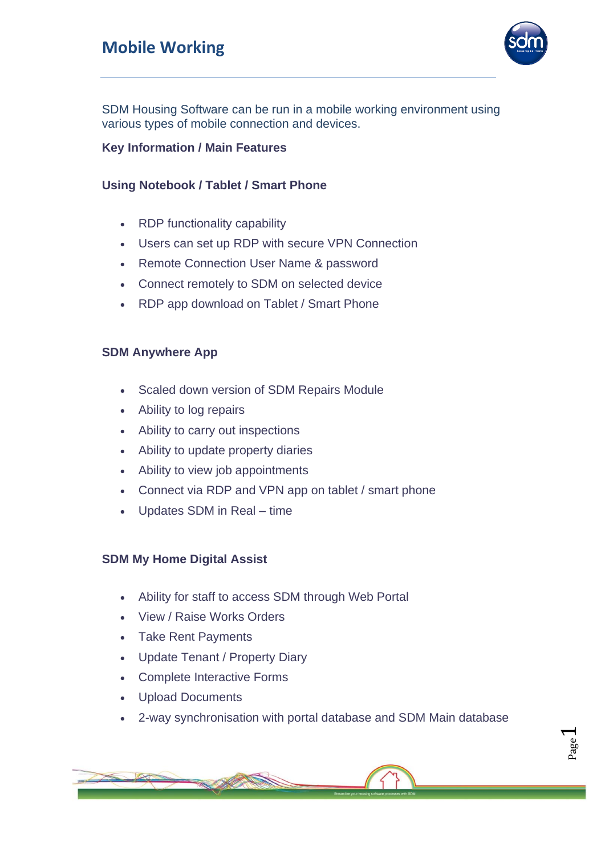## **Mobile Working**



SDM Housing Software can be run in a mobile working environment using various types of mobile connection and devices.

#### **Key Information / Main Features**

#### **Using Notebook / Tablet / Smart Phone**

- RDP functionality capability
- Users can set up RDP with secure VPN Connection
- Remote Connection User Name & password
- Connect remotely to SDM on selected device
- RDP app download on Tablet / Smart Phone

#### **SDM Anywhere App**

- Scaled down version of SDM Repairs Module
- Ability to log repairs
- Ability to carry out inspections
- Ability to update property diaries
- Ability to view job appointments
- Connect via RDP and VPN app on tablet / smart phone
- Updates SDM in Real time

#### **SDM My Home Digital Assist**

- Ability for staff to access SDM through Web Portal
- View / Raise Works Orders
- Take Rent Payments
- Update Tenant / Property Diary
- Complete Interactive Forms
- Upload Documents
- 2-way synchronisation with portal database and SDM Main database